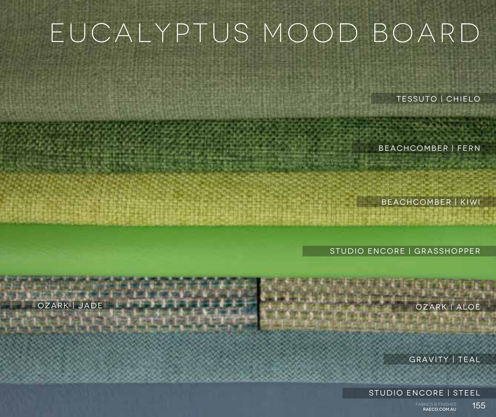## eucalyptus mood board

tessuto | chielo

beachcomber | fern

beachcomber | kiwi

studio encore | grasshopper

GRAVITY | TEAL

studio encore | steel

 fabrics & finishes raeco.com.au

155

OZARK | JADE OZARK | ALOE

**THE R. P. LEWIS**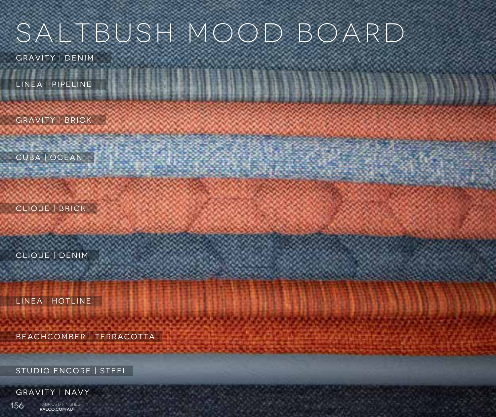#### saltbush mood board

gravity | denim

linea | pipeline

gravity | brick

cuba | ocean

**Represent** 

clique | brick

clique | denim

linea | hotline

beachcomber | TERRACOTTA

studio encore | steel

gravity | navy

156 fabrics & finishes RAECO.COM AU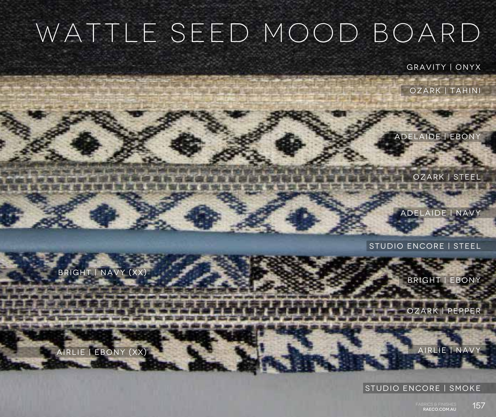# WATTLE SEED MOOD BOARD

gravity | onyx

ozark | tahini

adelaide | ebony

ozark | steel

adelaide | navy

studio encore | steel

bright | navy (XX)

bright | ebony

ozark | pepper

airlie | ebony (XX)

studio encore | smoke

AIRLIE | NAVY

157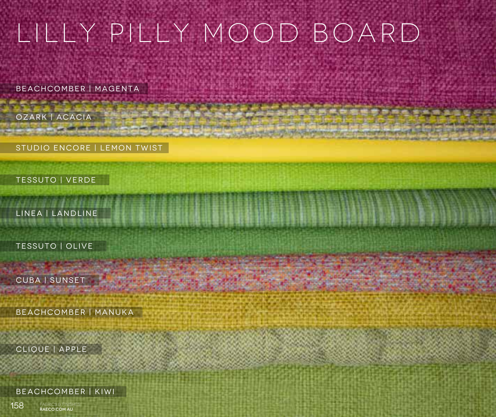## lilly pilly mood board

beachcomber | magenta

ozark | acacia

studio encore | lemon twist

tessuto | verde

linea | landline

tessuto | olive

cuba | sunset

**CELLERATION** 

beachcomber | manuka

clique | apple

beachcomber | kiwi

158 **8** FABRICS & FINISHES<br>RAECO.COM AU